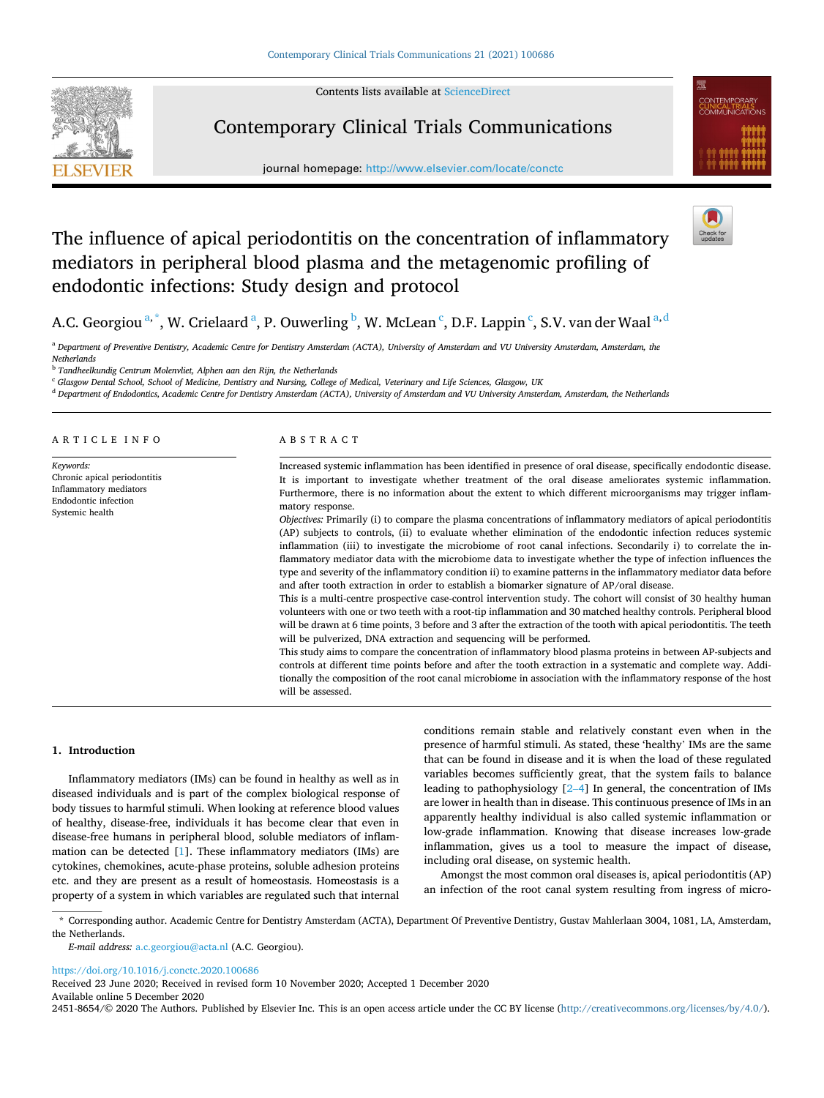Contents lists available at [ScienceDirect](www.sciencedirect.com/science/journal/24518654)



# Contemporary Clinical Trials Communications

journal homepage: [http://www.elsevier.com/locate/conctc](https://http://www.elsevier.com/locate/conctc)



# The influence of apical periodontitis on the concentration of inflammatory mediators in peripheral blood plasma and the metagenomic profiling of endodontic infections: Study design and protocol



# A.C. Georgiou  $^{a,\ast}$ , W. Crielaard  $^{a}$ , P. Ouwerling  $^{b}$ , W. McLean  $^{c}$ , D.F. Lappin  $^{c}$ , S.V. van der Waal  $^{a,d}$

<sup>a</sup> *Department of Preventive Dentistry, Academic Centre for Dentistry Amsterdam (ACTA), University of Amsterdam and VU University Amsterdam, Amsterdam, the Netherlands* 

<sup>b</sup> *Tandheelkundig Centrum Molenvliet, Alphen aan den Rijn, the Netherlands* 

<sup>c</sup> *Glasgow Dental School, School of Medicine, Dentistry and Nursing, College of Medical, Veterinary and Life Sciences, Glasgow, UK* 

<sup>d</sup> *Department of Endodontics, Academic Centre for Dentistry Amsterdam (ACTA), University of Amsterdam and VU University Amsterdam, Amsterdam, the Netherlands* 

| ARTICLE INFO                                                                                                   | ABSTRACT                                                                                                                                                                                                                                                                                                                                                                                                                                                                                                                                                          |
|----------------------------------------------------------------------------------------------------------------|-------------------------------------------------------------------------------------------------------------------------------------------------------------------------------------------------------------------------------------------------------------------------------------------------------------------------------------------------------------------------------------------------------------------------------------------------------------------------------------------------------------------------------------------------------------------|
| Keywords:<br>Chronic apical periodontitis<br>Inflammatory mediators<br>Endodontic infection<br>Systemic health | Increased systemic inflammation has been identified in presence of oral disease, specifically endodontic disease.<br>It is important to investigate whether treatment of the oral disease ameliorates systemic inflammation.<br>Furthermore, there is no information about the extent to which different microorganisms may trigger inflam-<br>matory response.<br>Objectives: Primarily (i) to compare the plasma concentrations of inflammatory mediators of apical periodontitis                                                                               |
|                                                                                                                | (AP) subjects to controls, (ii) to evaluate whether elimination of the endodontic infection reduces systemic<br>inflammation (iii) to investigate the microbiome of root canal infections. Secondarily i) to correlate the in-<br>flammatory mediator data with the microbiome data to investigate whether the type of infection influences the<br>type and severity of the inflammatory condition ii) to examine patterns in the inflammatory mediator data before<br>and after tooth extraction in order to establish a biomarker signature of AP/oral disease. |
|                                                                                                                | This is a multi-centre prospective case-control intervention study. The cohort will consist of 30 healthy human<br>volunteers with one or two teeth with a root-tip inflammation and 30 matched healthy controls. Peripheral blood<br>will be drawn at 6 time points, 3 before and 3 after the extraction of the tooth with apical periodontitis. The teeth<br>will be pulverized, DNA extraction and sequencing will be performed.                                                                                                                               |
|                                                                                                                | This study aims to compare the concentration of inflammatory blood plasma proteins in between AP-subjects and<br>controls at different time points before and after the tooth extraction in a systematic and complete way. Addi-<br>tionally the composition of the root canal microbiome in association with the inflammatory response of the host<br>will be assessed.                                                                                                                                                                                          |

#### **1. Introduction**

Inflammatory mediators (IMs) can be found in healthy as well as in diseased individuals and is part of the complex biological response of body tissues to harmful stimuli. When looking at reference blood values of healthy, disease-free, individuals it has become clear that even in disease-free humans in peripheral blood, soluble mediators of inflammation can be detected [\[1\]](#page-6-0). These inflammatory mediators (IMs) are cytokines, chemokines, acute-phase proteins, soluble adhesion proteins etc. and they are present as a result of homeostasis. Homeostasis is a property of a system in which variables are regulated such that internal conditions remain stable and relatively constant even when in the presence of harmful stimuli. As stated, these 'healthy' IMs are the same that can be found in disease and it is when the load of these regulated variables becomes sufficiently great, that the system fails to balance leading to pathophysiology [2–[4\]](#page-6-0) In general, the concentration of IMs are lower in health than in disease. This continuous presence of IMs in an apparently healthy individual is also called systemic inflammation or low-grade inflammation. Knowing that disease increases low-grade inflammation, gives us a tool to measure the impact of disease, including oral disease, on systemic health.

Amongst the most common oral diseases is, apical periodontitis (AP) an infection of the root canal system resulting from ingress of micro-

\* Corresponding author. Academic Centre for Dentistry Amsterdam (ACTA), Department Of Preventive Dentistry, Gustav Mahlerlaan 3004, 1081, LA, Amsterdam, the Netherlands.

*E-mail address:* [a.c.georgiou@acta.nl](mailto:a.c.georgiou@acta.nl) (A.C. Georgiou).

<https://doi.org/10.1016/j.conctc.2020.100686>

Available online 5 December 2020 Received 23 June 2020; Received in revised form 10 November 2020; Accepted 1 December 2020

2451-8654/© 2020 The Authors. Published by Elsevier Inc. This is an open access article under the CC BY license(<http://creativecommons.org/licenses/by/4.0/>).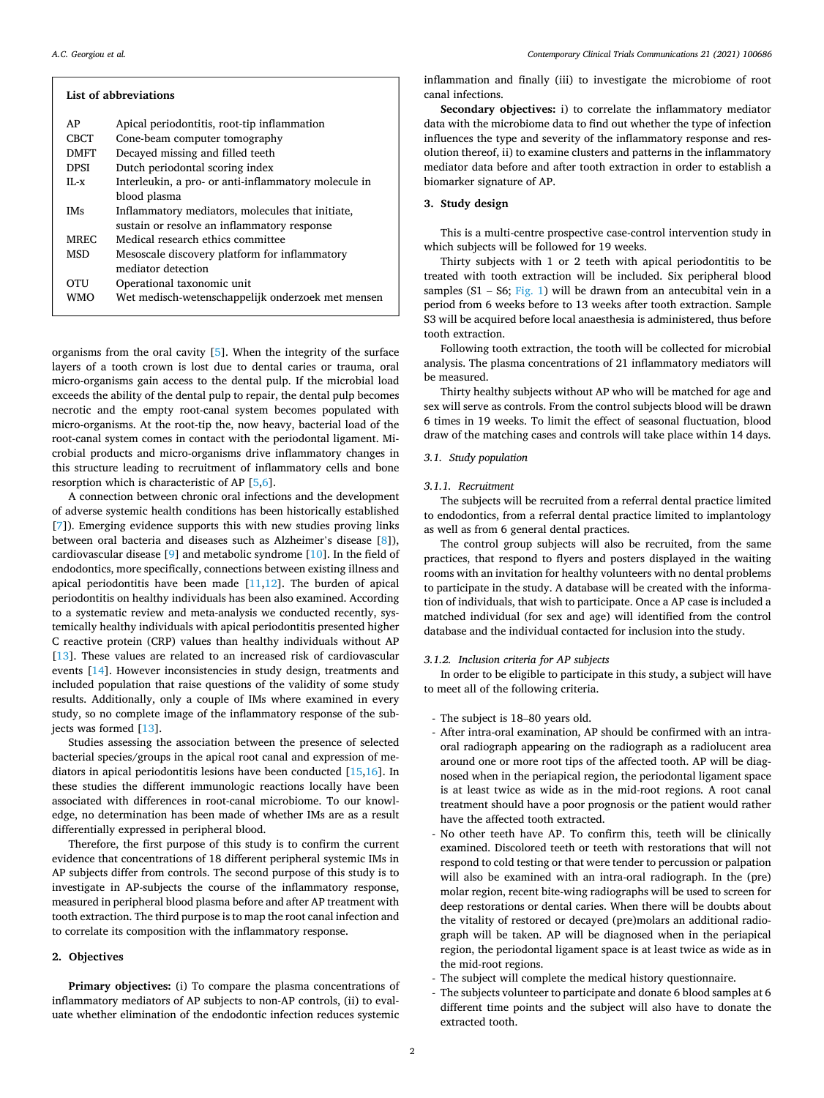| List of abbreviations |                                                      |  |  |
|-----------------------|------------------------------------------------------|--|--|
| AP                    | Apical periodontitis, root-tip inflammation          |  |  |
| CBCT                  | Cone-beam computer tomography                        |  |  |
| <b>DMFT</b>           | Decayed missing and filled teeth                     |  |  |
| <b>DPSI</b>           | Dutch periodontal scoring index                      |  |  |
| $II - x$              | Interleukin, a pro- or anti-inflammatory molecule in |  |  |
|                       | blood plasma                                         |  |  |
| <b>IMs</b>            | Inflammatory mediators, molecules that initiate,     |  |  |
|                       | sustain or resolve an inflammatory response          |  |  |
| <b>MREC</b>           | Medical research ethics committee                    |  |  |
| <b>MSD</b>            | Mesoscale discovery platform for inflammatory        |  |  |
|                       | mediator detection                                   |  |  |
| OTU                   | Operational taxonomic unit                           |  |  |
| WMO                   | Wet medisch-wetenschappelijk onderzoek met mensen    |  |  |
|                       |                                                      |  |  |

organisms from the oral cavity [\[5\]](#page-6-0). When the integrity of the surface layers of a tooth crown is lost due to dental caries or trauma, oral micro-organisms gain access to the dental pulp. If the microbial load exceeds the ability of the dental pulp to repair, the dental pulp becomes necrotic and the empty root-canal system becomes populated with micro-organisms. At the root-tip the, now heavy, bacterial load of the root-canal system comes in contact with the periodontal ligament. Microbial products and micro-organisms drive inflammatory changes in this structure leading to recruitment of inflammatory cells and bone resorption which is characteristic of AP [[5](#page-6-0),[6](#page-6-0)].

A connection between chronic oral infections and the development of adverse systemic health conditions has been historically established [[7](#page-6-0)]). Emerging evidence supports this with new studies proving links between oral bacteria and diseases such as Alzheimer's disease [[8](#page-6-0)]), cardiovascular disease [[9](#page-6-0)] and metabolic syndrome [\[10](#page-6-0)]. In the field of endodontics, more specifically, connections between existing illness and apical periodontitis have been made  $[11,12]$  $[11,12]$ . The burden of apical periodontitis on healthy individuals has been also examined. According to a systematic review and meta-analysis we conducted recently, systemically healthy individuals with apical periodontitis presented higher C reactive protein (CRP) values than healthy individuals without AP [[13\]](#page-6-0). These values are related to an increased risk of cardiovascular events [[14](#page-6-0)]. However inconsistencies in study design, treatments and included population that raise questions of the validity of some study results. Additionally, only a couple of IMs where examined in every study, so no complete image of the inflammatory response of the subjects was formed [[13\]](#page-6-0).

Studies assessing the association between the presence of selected bacterial species/groups in the apical root canal and expression of mediators in apical periodontitis lesions have been conducted [\[15,16](#page-6-0)]. In these studies the different immunologic reactions locally have been associated with differences in root-canal microbiome. To our knowledge, no determination has been made of whether IMs are as a result differentially expressed in peripheral blood.

Therefore, the first purpose of this study is to confirm the current evidence that concentrations of 18 different peripheral systemic IMs in AP subjects differ from controls. The second purpose of this study is to investigate in AP-subjects the course of the inflammatory response, measured in peripheral blood plasma before and after AP treatment with tooth extraction. The third purpose is to map the root canal infection and to correlate its composition with the inflammatory response.

# **2. Objectives**

Primary objectives: (i) To compare the plasma concentrations of inflammatory mediators of AP subjects to non-AP controls, (ii) to evaluate whether elimination of the endodontic infection reduces systemic inflammation and finally (iii) to investigate the microbiome of root canal infections.

**Secondary objectives:** i) to correlate the inflammatory mediator data with the microbiome data to find out whether the type of infection influences the type and severity of the inflammatory response and resolution thereof, ii) to examine clusters and patterns in the inflammatory mediator data before and after tooth extraction in order to establish a biomarker signature of AP.

#### **3. Study design**

This is a multi-centre prospective case-control intervention study in which subjects will be followed for 19 weeks.

Thirty subjects with 1 or 2 teeth with apical periodontitis to be treated with tooth extraction will be included. Six peripheral blood samples  $(S1 - S6; Fig. 1)$  $(S1 - S6; Fig. 1)$  $(S1 - S6; Fig. 1)$  will be drawn from an antecubital vein in a period from 6 weeks before to 13 weeks after tooth extraction. Sample S3 will be acquired before local anaesthesia is administered, thus before tooth extraction.

Following tooth extraction, the tooth will be collected for microbial analysis. The plasma concentrations of 21 inflammatory mediators will be measured.

Thirty healthy subjects without AP who will be matched for age and sex will serve as controls. From the control subjects blood will be drawn 6 times in 19 weeks. To limit the effect of seasonal fluctuation, blood draw of the matching cases and controls will take place within 14 days.

# *3.1. Study population*

#### *3.1.1. Recruitment*

The subjects will be recruited from a referral dental practice limited to endodontics, from a referral dental practice limited to implantology as well as from 6 general dental practices.

The control group subjects will also be recruited, from the same practices, that respond to flyers and posters displayed in the waiting rooms with an invitation for healthy volunteers with no dental problems to participate in the study. A database will be created with the information of individuals, that wish to participate. Once a AP case is included a matched individual (for sex and age) will identified from the control database and the individual contacted for inclusion into the study.

# *3.1.2. Inclusion criteria for AP subjects*

In order to be eligible to participate in this study, a subject will have to meet all of the following criteria.

- The subject is 18–80 years old.
- After intra-oral examination, AP should be confirmed with an intraoral radiograph appearing on the radiograph as a radiolucent area around one or more root tips of the affected tooth. AP will be diagnosed when in the periapical region, the periodontal ligament space is at least twice as wide as in the mid-root regions. A root canal treatment should have a poor prognosis or the patient would rather have the affected tooth extracted.
- No other teeth have AP. To confirm this, teeth will be clinically examined. Discolored teeth or teeth with restorations that will not respond to cold testing or that were tender to percussion or palpation will also be examined with an intra-oral radiograph. In the (pre) molar region, recent bite-wing radiographs will be used to screen for deep restorations or dental caries. When there will be doubts about the vitality of restored or decayed (pre)molars an additional radiograph will be taken. AP will be diagnosed when in the periapical region, the periodontal ligament space is at least twice as wide as in the mid-root regions.
- The subject will complete the medical history questionnaire.
- The subjects volunteer to participate and donate 6 blood samples at 6 different time points and the subject will also have to donate the extracted tooth.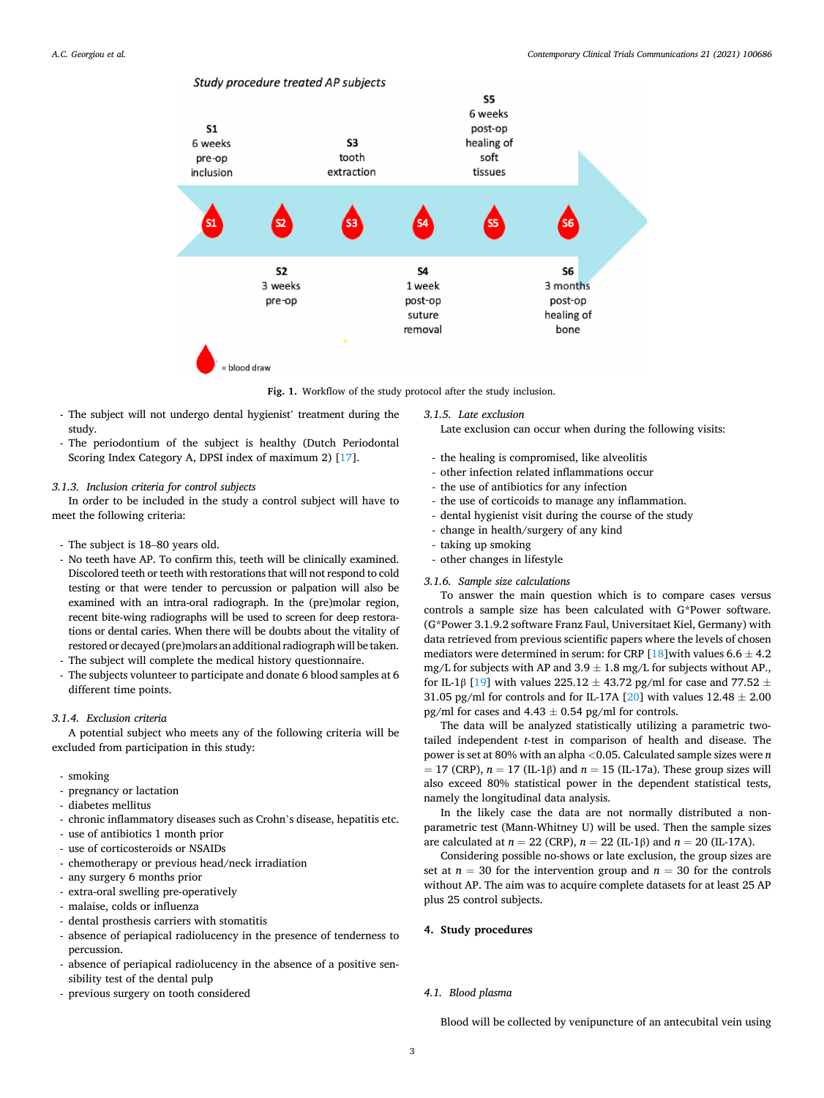

<span id="page-2-0"></span>

**Fig. 1.** Workflow of the study protocol after the study inclusion.

- The subject will not undergo dental hygienist' treatment during the study.
- The periodontium of the subject is healthy (Dutch Periodontal Scoring Index Category A, DPSI index of maximum 2) [[17\]](#page-6-0).

## *3.1.3. Inclusion criteria for control subjects*

In order to be included in the study a control subject will have to meet the following criteria:

- The subject is 18–80 years old.
- No teeth have AP. To confirm this, teeth will be clinically examined. Discolored teeth or teeth with restorations that will not respond to cold testing or that were tender to percussion or palpation will also be examined with an intra-oral radiograph. In the (pre)molar region, recent bite-wing radiographs will be used to screen for deep restorations or dental caries. When there will be doubts about the vitality of restored or decayed (pre)molars an additional radiograph will be taken.
- The subject will complete the medical history questionnaire.
- The subjects volunteer to participate and donate 6 blood samples at 6 different time points.

#### *3.1.4. Exclusion criteria*

A potential subject who meets any of the following criteria will be excluded from participation in this study:

- smoking
- pregnancy or lactation
- diabetes mellitus
- chronic inflammatory diseases such as Crohn's disease, hepatitis etc.
- use of antibiotics 1 month prior
- use of corticosteroids or NSAIDs
- chemotherapy or previous head/neck irradiation
- any surgery 6 months prior
- extra-oral swelling pre-operatively
- malaise, colds or influenza
- dental prosthesis carriers with stomatitis
- absence of periapical radiolucency in the presence of tenderness to percussion.
- absence of periapical radiolucency in the absence of a positive sensibility test of the dental pulp
- previous surgery on tooth considered

*3.1.5. Late exclusion* 

Late exclusion can occur when during the following visits:

- the healing is compromised, like alveolitis
- other infection related inflammations occur
- the use of antibiotics for any infection
- the use of corticoids to manage any inflammation.
- dental hygienist visit during the course of the study
- change in health/surgery of any kind
- taking up smoking
- other changes in lifestyle

# *3.1.6. Sample size calculations*

To answer the main question which is to compare cases versus controls a sample size has been calculated with G\*Power software. (G\*Power 3.1.9.2 software Franz Faul, Universitaet Kiel, Germany) with data retrieved from previous scientific papers where the levels of chosen mediators were determined in serum: for CRP [\[18](#page-6-0)] with values 6.6  $\pm$  4.2 mg/L for subjects with AP and  $3.9 \pm 1.8$  mg/L for subjects without AP., for IL-1β [[19\]](#page-6-0) with values 225.12  $\pm$  43.72 pg/ml for case and 77.52  $\pm$ 31.05 pg/ml for controls and for IL-17A [\[20](#page-6-0)] with values  $12.48 \pm 2.00$ pg/ml for cases and  $4.43 \pm 0.54$  pg/ml for controls.

The data will be analyzed statistically utilizing a parametric twotailed independent *t*-test in comparison of health and disease. The power is set at 80% with an alpha *<*0.05. Calculated sample sizes were *n*   $= 17$  (CRP),  $n = 17$  (IL-1 $\beta$ ) and  $n = 15$  (IL-17a). These group sizes will also exceed 80% statistical power in the dependent statistical tests, namely the longitudinal data analysis.

In the likely case the data are not normally distributed a nonparametric test (Mann-Whitney U) will be used. Then the sample sizes are calculated at *n* = 22 (CRP), *n* = 22 (IL-1β) and *n* = 20 (IL-17A).

Considering possible no-shows or late exclusion, the group sizes are set at  $n = 30$  for the intervention group and  $n = 30$  for the controls without AP. The aim was to acquire complete datasets for at least 25 AP plus 25 control subjects.

# **4. Study procedures**

# *4.1. Blood plasma*

Blood will be collected by venipuncture of an antecubital vein using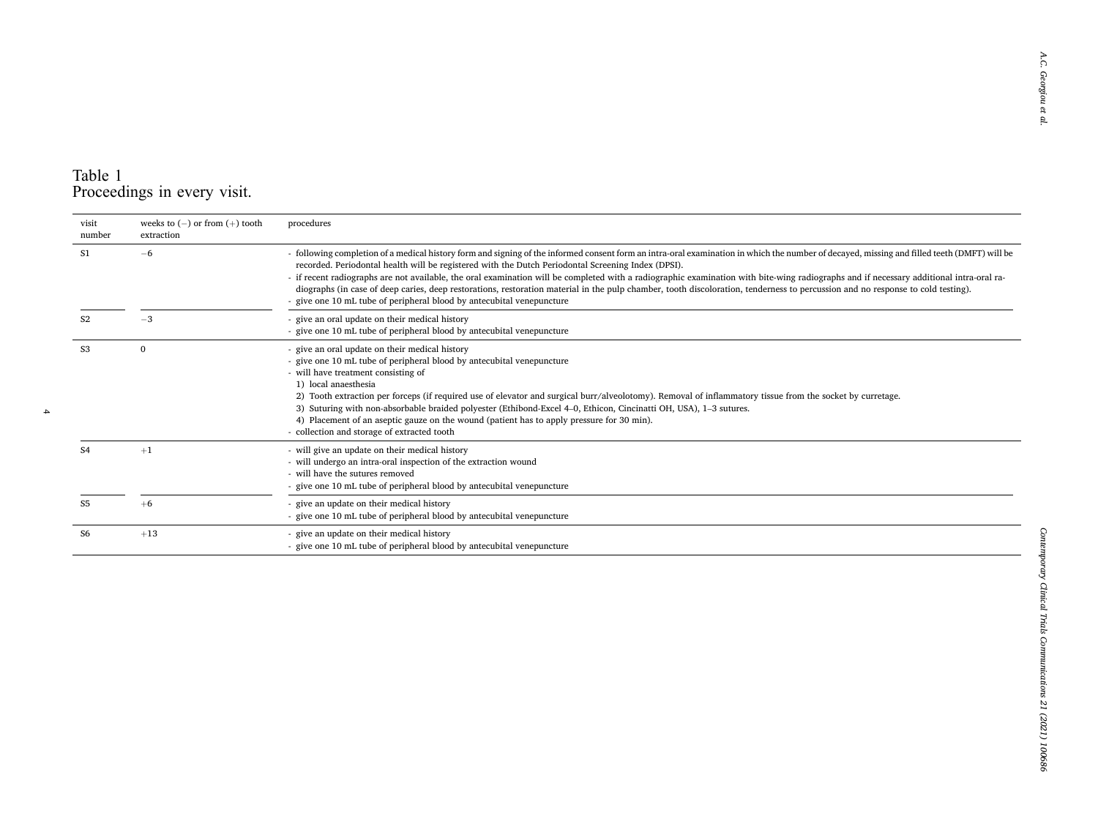# Table 1 Proceedings in every visit.

 $\overline{\phantom{a}}$ 

| visit<br>number | weeks to $(-)$ or from $(+)$ tooth<br>extraction | procedures                                                                                                                                                                                                                                                                                                                                                                                                                                                                                                                                                                                                                                                                                                                                               |
|-----------------|--------------------------------------------------|----------------------------------------------------------------------------------------------------------------------------------------------------------------------------------------------------------------------------------------------------------------------------------------------------------------------------------------------------------------------------------------------------------------------------------------------------------------------------------------------------------------------------------------------------------------------------------------------------------------------------------------------------------------------------------------------------------------------------------------------------------|
| S1              | $-6$                                             | - following completion of a medical history form and signing of the informed consent form an intra-oral examination in which the number of decayed, missing and filled teeth (DMFT) will be<br>recorded. Periodontal health will be registered with the Dutch Periodontal Screening Index (DPSI).<br>- if recent radiographs are not available, the oral examination will be completed with a radiographic examination with bite-wing radiographs and if necessary additional intra-oral ra-<br>diographs (in case of deep caries, deep restorations, restoration material in the pulp chamber, tooth discoloration, tenderness to percussion and no response to cold testing).<br>- give one 10 mL tube of peripheral blood by antecubital venepuncture |
|                 | $-3$                                             | - give an oral update on their medical history<br>- give one 10 mL tube of peripheral blood by antecubital venepuncture                                                                                                                                                                                                                                                                                                                                                                                                                                                                                                                                                                                                                                  |
| S <sub>3</sub>  | $\mathbf{0}$                                     | - give an oral update on their medical history<br>- give one 10 mL tube of peripheral blood by antecubital venepuncture<br>- will have treatment consisting of<br>1) local anaesthesia<br>2) Tooth extraction per forceps (if required use of elevator and surgical burr/alveolotomy). Removal of inflammatory tissue from the socket by curretage.<br>3) Suturing with non-absorbable braided polyester (Ethibond-Excel 4–0, Ethicon, Cincinatti OH, USA), 1–3 sutures.<br>4) Placement of an aseptic gauze on the wound (patient has to apply pressure for 30 min).<br>- collection and storage of extracted tooth                                                                                                                                     |
| S <sub>4</sub>  | $+1$                                             | - will give an update on their medical history<br>- will undergo an intra-oral inspection of the extraction wound<br>- will have the sutures removed<br>- give one 10 mL tube of peripheral blood by antecubital venepuncture                                                                                                                                                                                                                                                                                                                                                                                                                                                                                                                            |
| S5              | $+6$                                             | - give an update on their medical history<br>- give one 10 mL tube of peripheral blood by antecubital venepuncture                                                                                                                                                                                                                                                                                                                                                                                                                                                                                                                                                                                                                                       |
| S6              | $+13$                                            | - give an update on their medical history<br>- give one 10 mL tube of peripheral blood by antecubital venepuncture                                                                                                                                                                                                                                                                                                                                                                                                                                                                                                                                                                                                                                       |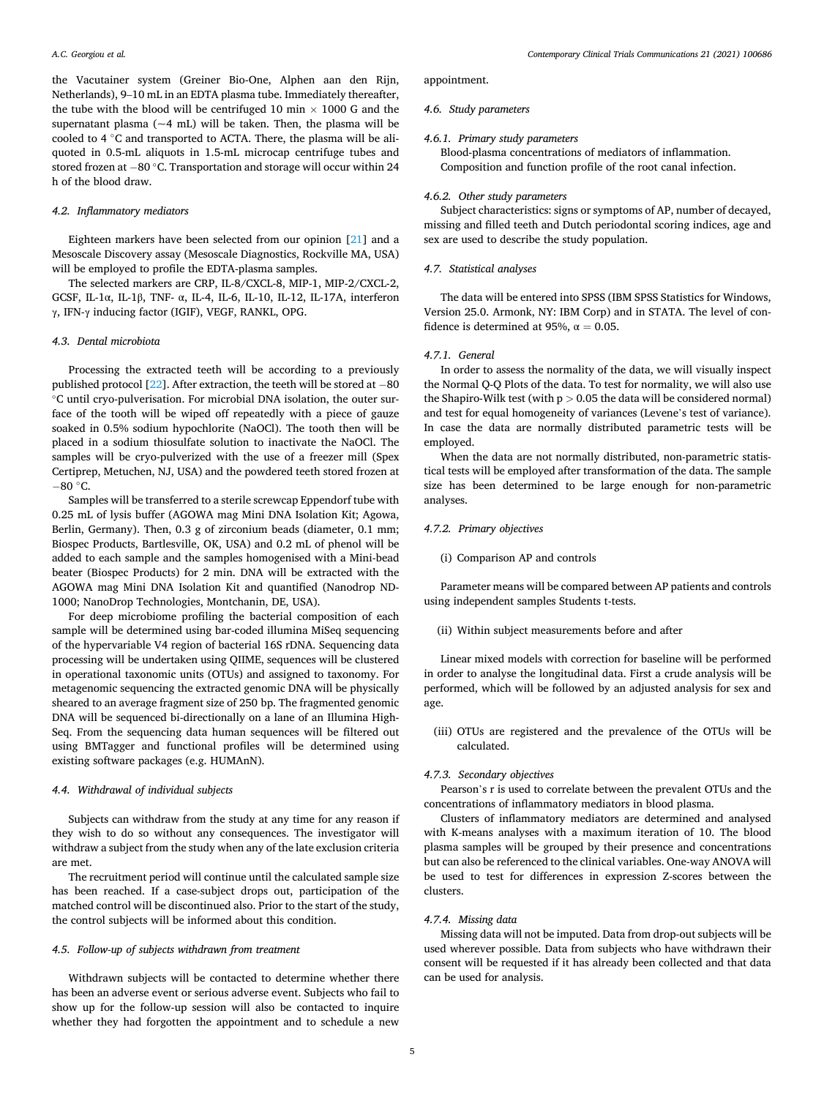the Vacutainer system (Greiner Bio-One, Alphen aan den Rijn, Netherlands), 9–10 mL in an EDTA plasma tube. Immediately thereafter, the tube with the blood will be centrifuged 10 min  $\times$  1000 G and the supernatant plasma  $({\sim}4$  mL) will be taken. Then, the plasma will be cooled to 4 ◦C and transported to ACTA. There, the plasma will be aliquoted in 0.5-mL aliquots in 1.5-mL microcap centrifuge tubes and stored frozen at − 80 ◦C. Transportation and storage will occur within 24 h of the blood draw.

#### *4.2. Inflammatory mediators*

Eighteen markers have been selected from our opinion [\[21](#page-6-0)] and a Mesoscale Discovery assay (Mesoscale Diagnostics, Rockville MA, USA) will be employed to profile the EDTA-plasma samples.

The selected markers are CRP, IL-8/CXCL-8, MIP-1, MIP-2/CXCL-2, GCSF, IL-1α, IL-1β, TNF- α, IL-4, IL-6, IL-10, IL-12, IL-17A, interferon γ, IFN-γ inducing factor (IGIF), VEGF, RANKL, OPG.

## *4.3. Dental microbiota*

Processing the extracted teeth will be according to a previously published protocol [\[22](#page-6-0)]. After extraction, the teeth will be stored at − 80 ◦C until cryo-pulverisation. For microbial DNA isolation, the outer surface of the tooth will be wiped off repeatedly with a piece of gauze soaked in 0.5% sodium hypochlorite (NaOCl). The tooth then will be placed in a sodium thiosulfate solution to inactivate the NaOCl. The samples will be cryo-pulverized with the use of a freezer mill (Spex Certiprep, Metuchen, NJ, USA) and the powdered teeth stored frozen at  $-80$  °C.

Samples will be transferred to a sterile screwcap Eppendorf tube with 0.25 mL of lysis buffer (AGOWA mag Mini DNA Isolation Kit; Agowa, Berlin, Germany). Then, 0.3 g of zirconium beads (diameter, 0.1 mm; Biospec Products, Bartlesville, OK, USA) and 0.2 mL of phenol will be added to each sample and the samples homogenised with a Mini-bead beater (Biospec Products) for 2 min. DNA will be extracted with the AGOWA mag Mini DNA Isolation Kit and quantified (Nanodrop ND-1000; NanoDrop Technologies, Montchanin, DE, USA).

For deep microbiome profiling the bacterial composition of each sample will be determined using bar-coded illumina MiSeq sequencing of the hypervariable V4 region of bacterial 16S rDNA. Sequencing data processing will be undertaken using QIIME, sequences will be clustered in operational taxonomic units (OTUs) and assigned to taxonomy. For metagenomic sequencing the extracted genomic DNA will be physically sheared to an average fragment size of 250 bp. The fragmented genomic DNA will be sequenced bi-directionally on a lane of an Illumina High-Seq. From the sequencing data human sequences will be filtered out using BMTagger and functional profiles will be determined using existing software packages (e.g. HUMAnN).

## *4.4. Withdrawal of individual subjects*

Subjects can withdraw from the study at any time for any reason if they wish to do so without any consequences. The investigator will withdraw a subject from the study when any of the late exclusion criteria are met.

The recruitment period will continue until the calculated sample size has been reached. If a case-subject drops out, participation of the matched control will be discontinued also. Prior to the start of the study, the control subjects will be informed about this condition.

#### *4.5. Follow-up of subjects withdrawn from treatment*

Withdrawn subjects will be contacted to determine whether there has been an adverse event or serious adverse event. Subjects who fail to show up for the follow-up session will also be contacted to inquire whether they had forgotten the appointment and to schedule a new

appointment.

#### *4.6. Study parameters*

# *4.6.1. Primary study parameters*

Blood-plasma concentrations of mediators of inflammation. Composition and function profile of the root canal infection.

#### *4.6.2. Other study parameters*

Subject characteristics: signs or symptoms of AP, number of decayed, missing and filled teeth and Dutch periodontal scoring indices, age and sex are used to describe the study population.

#### *4.7. Statistical analyses*

The data will be entered into SPSS (IBM SPSS Statistics for Windows, Version 25.0. Armonk, NY: IBM Corp) and in STATA. The level of confidence is determined at 95%,  $\alpha = 0.05$ .

#### *4.7.1. General*

In order to assess the normality of the data, we will visually inspect the Normal Q-Q Plots of the data. To test for normality, we will also use the Shapiro-Wilk test (with p *>* 0.05 the data will be considered normal) and test for equal homogeneity of variances (Levene's test of variance). In case the data are normally distributed parametric tests will be employed.

When the data are not normally distributed, non-parametric statistical tests will be employed after transformation of the data. The sample size has been determined to be large enough for non-parametric analyses.

#### *4.7.2. Primary objectives*

(i) Comparison AP and controls

Parameter means will be compared between AP patients and controls using independent samples Students t-tests.

(ii) Within subject measurements before and after

Linear mixed models with correction for baseline will be performed in order to analyse the longitudinal data. First a crude analysis will be performed, which will be followed by an adjusted analysis for sex and age.

(iii) OTUs are registered and the prevalence of the OTUs will be calculated.

#### *4.7.3. Secondary objectives*

Pearson's r is used to correlate between the prevalent OTUs and the concentrations of inflammatory mediators in blood plasma.

Clusters of inflammatory mediators are determined and analysed with K-means analyses with a maximum iteration of 10. The blood plasma samples will be grouped by their presence and concentrations but can also be referenced to the clinical variables. One-way ANOVA will be used to test for differences in expression Z-scores between the clusters.

#### *4.7.4. Missing data*

Missing data will not be imputed. Data from drop-out subjects will be used wherever possible. Data from subjects who have withdrawn their consent will be requested if it has already been collected and that data can be used for analysis.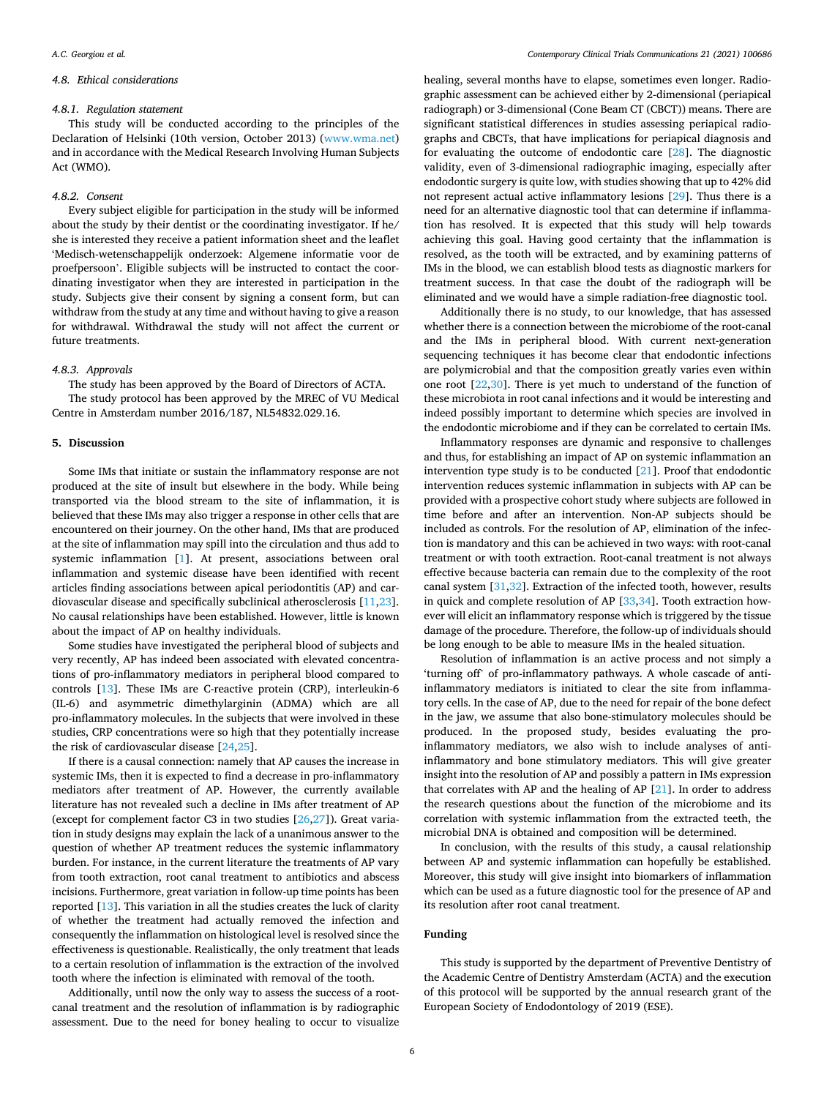### *4.8. Ethical considerations*

#### *4.8.1. Regulation statement*

This study will be conducted according to the principles of the Declaration of Helsinki (10th version, October 2013) [\(www.wma.net\)](http://www.wma.net) and in accordance with the Medical Research Involving Human Subjects Act (WMO).

#### *4.8.2. Consent*

Every subject eligible for participation in the study will be informed about the study by their dentist or the coordinating investigator. If he/ she is interested they receive a patient information sheet and the leaflet 'Medisch-wetenschappelijk onderzoek: Algemene informatie voor de proefpersoon'. Eligible subjects will be instructed to contact the coordinating investigator when they are interested in participation in the study. Subjects give their consent by signing a consent form, but can withdraw from the study at any time and without having to give a reason for withdrawal. Withdrawal the study will not affect the current or future treatments.

#### *4.8.3. Approvals*

The study has been approved by the Board of Directors of ACTA. The study protocol has been approved by the MREC of VU Medical Centre in Amsterdam number 2016/187, NL54832.029.16.

# **5. Discussion**

Some IMs that initiate or sustain the inflammatory response are not produced at the site of insult but elsewhere in the body. While being transported via the blood stream to the site of inflammation, it is believed that these IMs may also trigger a response in other cells that are encountered on their journey. On the other hand, IMs that are produced at the site of inflammation may spill into the circulation and thus add to systemic inflammation [[1](#page-6-0)]. At present, associations between oral inflammation and systemic disease have been identified with recent articles finding associations between apical periodontitis (AP) and cardiovascular disease and specifically subclinical atherosclerosis [[11,23](#page-6-0)]. No causal relationships have been established. However, little is known about the impact of AP on healthy individuals.

Some studies have investigated the peripheral blood of subjects and very recently, AP has indeed been associated with elevated concentrations of pro-inflammatory mediators in peripheral blood compared to controls [\[13](#page-6-0)]. These IMs are C-reactive protein (CRP), interleukin-6 (IL-6) and asymmetric dimethylarginin (ADMA) which are all pro-inflammatory molecules. In the subjects that were involved in these studies, CRP concentrations were so high that they potentially increase the risk of cardiovascular disease [\[24,25\]](#page-6-0).

If there is a causal connection: namely that AP causes the increase in systemic IMs, then it is expected to find a decrease in pro-inflammatory mediators after treatment of AP. However, the currently available literature has not revealed such a decline in IMs after treatment of AP (except for complement factor C3 in two studies [\[26,27](#page-6-0)]). Great variation in study designs may explain the lack of a unanimous answer to the question of whether AP treatment reduces the systemic inflammatory burden. For instance, in the current literature the treatments of AP vary from tooth extraction, root canal treatment to antibiotics and abscess incisions. Furthermore, great variation in follow-up time points has been reported [\[13](#page-6-0)]. This variation in all the studies creates the luck of clarity of whether the treatment had actually removed the infection and consequently the inflammation on histological level is resolved since the effectiveness is questionable. Realistically, the only treatment that leads to a certain resolution of inflammation is the extraction of the involved tooth where the infection is eliminated with removal of the tooth.

Additionally, until now the only way to assess the success of a rootcanal treatment and the resolution of inflammation is by radiographic assessment. Due to the need for boney healing to occur to visualize

healing, several months have to elapse, sometimes even longer. Radiographic assessment can be achieved either by 2-dimensional (periapical radiograph) or 3-dimensional (Cone Beam CT (CBCT)) means. There are significant statistical differences in studies assessing periapical radiographs and CBCTs, that have implications for periapical diagnosis and for evaluating the outcome of endodontic care [\[28](#page-6-0)]. The diagnostic validity, even of 3-dimensional radiographic imaging, especially after endodontic surgery is quite low, with studies showing that up to 42% did not represent actual active inflammatory lesions [\[29](#page-6-0)]. Thus there is a need for an alternative diagnostic tool that can determine if inflammation has resolved. It is expected that this study will help towards achieving this goal. Having good certainty that the inflammation is resolved, as the tooth will be extracted, and by examining patterns of IMs in the blood, we can establish blood tests as diagnostic markers for treatment success. In that case the doubt of the radiograph will be eliminated and we would have a simple radiation-free diagnostic tool.

Additionally there is no study, to our knowledge, that has assessed whether there is a connection between the microbiome of the root-canal and the IMs in peripheral blood. With current next-generation sequencing techniques it has become clear that endodontic infections are polymicrobial and that the composition greatly varies even within one root [\[22](#page-6-0),[30\]](#page-6-0). There is yet much to understand of the function of these microbiota in root canal infections and it would be interesting and indeed possibly important to determine which species are involved in the endodontic microbiome and if they can be correlated to certain IMs.

Inflammatory responses are dynamic and responsive to challenges and thus, for establishing an impact of AP on systemic inflammation an intervention type study is to be conducted [[21\]](#page-6-0). Proof that endodontic intervention reduces systemic inflammation in subjects with AP can be provided with a prospective cohort study where subjects are followed in time before and after an intervention. Non-AP subjects should be included as controls. For the resolution of AP, elimination of the infection is mandatory and this can be achieved in two ways: with root-canal treatment or with tooth extraction. Root-canal treatment is not always effective because bacteria can remain due to the complexity of the root canal system [\[31,32](#page-6-0)]. Extraction of the infected tooth, however, results in quick and complete resolution of AP [[33,34\]](#page-6-0). Tooth extraction however will elicit an inflammatory response which is triggered by the tissue damage of the procedure. Therefore, the follow-up of individuals should be long enough to be able to measure IMs in the healed situation.

Resolution of inflammation is an active process and not simply a 'turning off' of pro-inflammatory pathways. A whole cascade of antiinflammatory mediators is initiated to clear the site from inflammatory cells. In the case of AP, due to the need for repair of the bone defect in the jaw, we assume that also bone-stimulatory molecules should be produced. In the proposed study, besides evaluating the proinflammatory mediators, we also wish to include analyses of antiinflammatory and bone stimulatory mediators. This will give greater insight into the resolution of AP and possibly a pattern in IMs expression that correlates with AP and the healing of AP [[21\]](#page-6-0). In order to address the research questions about the function of the microbiome and its correlation with systemic inflammation from the extracted teeth, the microbial DNA is obtained and composition will be determined.

In conclusion, with the results of this study, a causal relationship between AP and systemic inflammation can hopefully be established. Moreover, this study will give insight into biomarkers of inflammation which can be used as a future diagnostic tool for the presence of AP and its resolution after root canal treatment.

#### **Funding**

This study is supported by the department of Preventive Dentistry of the Academic Centre of Dentistry Amsterdam (ACTA) and the execution of this protocol will be supported by the annual research grant of the European Society of Endodontology of 2019 (ESE).